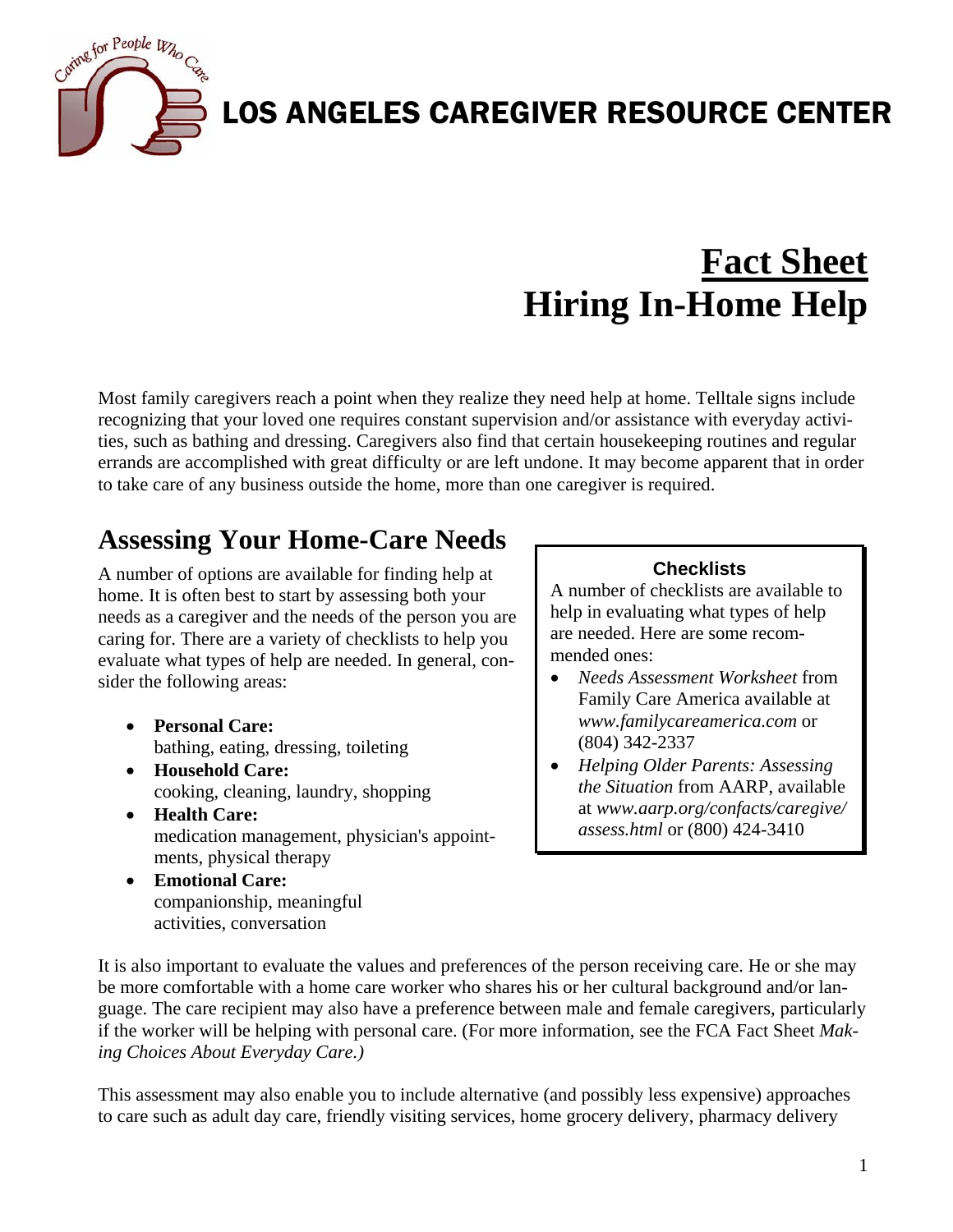LOS ANGELES CAREGIVER RESOURCE CENTER

# **Fact Sheet Hiring In-Home Help**

Most family caregivers reach a point when they realize they need help at home. Telltale signs include recognizing that your loved one requires constant supervision and/or assistance with everyday activities, such as bathing and dressing. Caregivers also find that certain housekeeping routines and regular errands are accomplished with great difficulty or are left undone. It may become apparent that in order to take care of any business outside the home, more than one caregiver is required.

### **Assessing Your Home-Care Needs**

Caring for People IVho C

A number of options are available for finding help at home. It is often best to start by assessing both your needs as a caregiver and the needs of the person you are caring for. There are a variety of checklists to help you evaluate what types of help are needed. In general, consider the following areas:

- **Personal Care:**  bathing, eating, dressing, toileting
- **Household Care:**  cooking, cleaning, laundry, shopping
- **Health Care:**  medication management, physician's appointments, physical therapy
- **Emotional Care:**  companionship, meaningful activities, conversation

### **Checklists**

A number of checklists are available to help in evaluating what types of help are needed. Here are some recommended ones:

- *Needs Assessment Worksheet* from Family Care America available at *www.familycareamerica.com* or (804) 342-2337
- *Helping Older Parents: Assessing the Situation* from AARP, available at *www.aarp.org/confacts/caregive/ assess.html* or (800) 424-3410

It is also important to evaluate the values and preferences of the person receiving care. He or she may be more comfortable with a home care worker who shares his or her cultural background and/or language. The care recipient may also have a preference between male and female caregivers, particularly if the worker will be helping with personal care. (For more information, see the FCA Fact Sheet *Making Choices About Everyday Care.)*

This assessment may also enable you to include alternative (and possibly less expensive) approaches to care such as adult day care, friendly visiting services, home grocery delivery, pharmacy delivery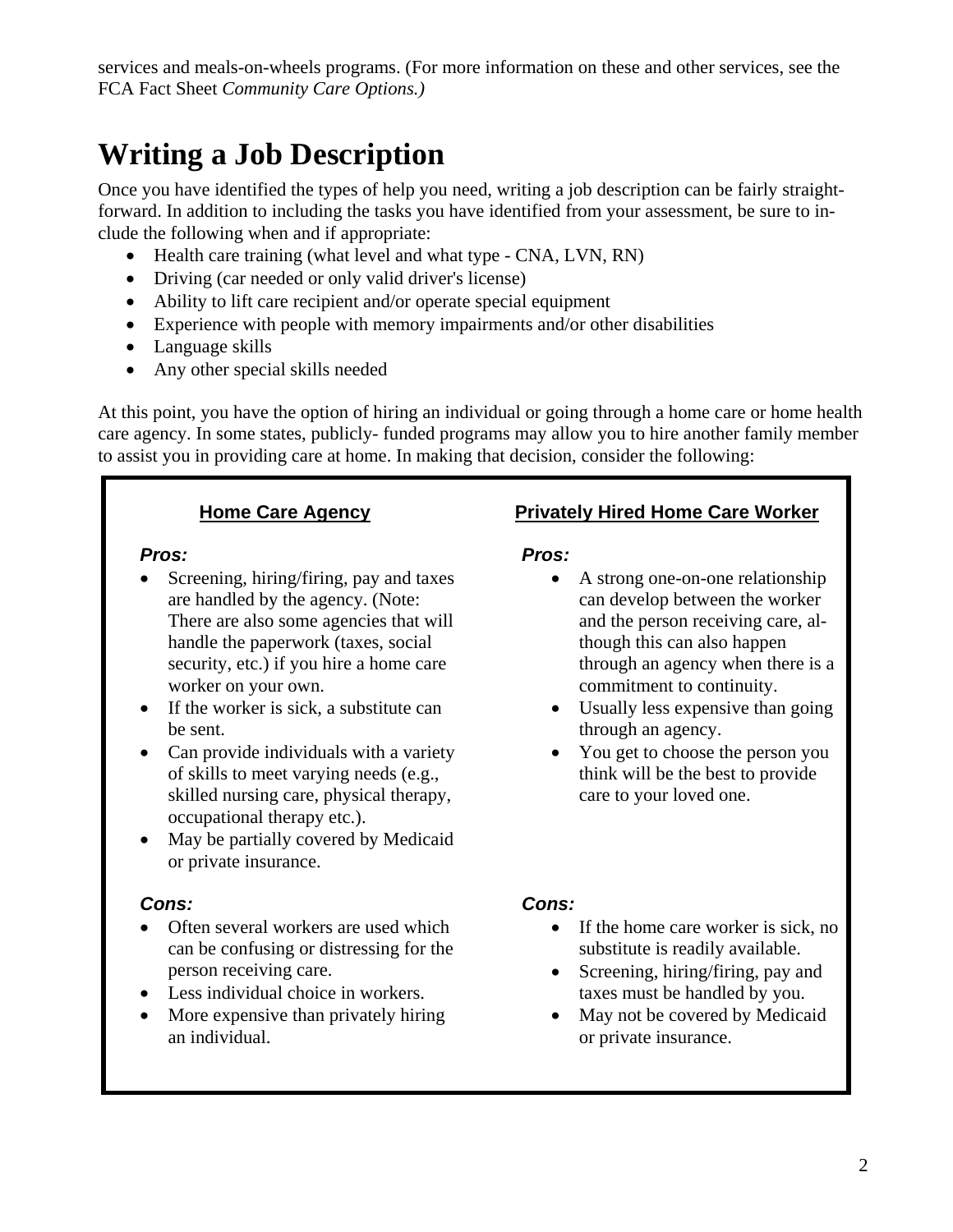services and meals-on-wheels programs. (For more information on these and other services, see the FCA Fact Sheet *Community Care Options.)* 

## **Writing a Job Description**

Once you have identified the types of help you need, writing a job description can be fairly straightforward. In addition to including the tasks you have identified from your assessment, be sure to include the following when and if appropriate:

- Health care training (what level and what type CNA, LVN, RN)
- Driving (car needed or only valid driver's license)
- Ability to lift care recipient and/or operate special equipment
- Experience with people with memory impairments and/or other disabilities
- Language skills
- Any other special skills needed

At this point, you have the option of hiring an individual or going through a home care or home health care agency. In some states, publicly- funded programs may allow you to hire another family member to assist you in providing care at home. In making that decision, consider the following:

### *Pros:*

- Screening, hiring/firing, pay and taxes are handled by the agency. (Note: There are also some agencies that will handle the paperwork (taxes, social security, etc.) if you hire a home care worker on your own.
- If the worker is sick, a substitute can be sent.
- Can provide individuals with a variety of skills to meet varying needs (e.g., skilled nursing care, physical therapy, occupational therapy etc.).
- May be partially covered by Medicaid or private insurance.

### *Cons:*

- Often several workers are used which can be confusing or distressing for the person receiving care.
- Less individual choice in workers.
- More expensive than privately hiring an individual.

### **Home Care Agency Privately Hired Home Care Worker**

### *Pros:*

- A strong one-on-one relationship can develop between the worker and the person receiving care, although this can also happen through an agency when there is a commitment to continuity.
- Usually less expensive than going through an agency.
- You get to choose the person you think will be the best to provide care to your loved one.

### *Cons:*

- If the home care worker is sick, no substitute is readily available.
- Screening, hiring/firing, pay and taxes must be handled by you.
- May not be covered by Medicaid or private insurance.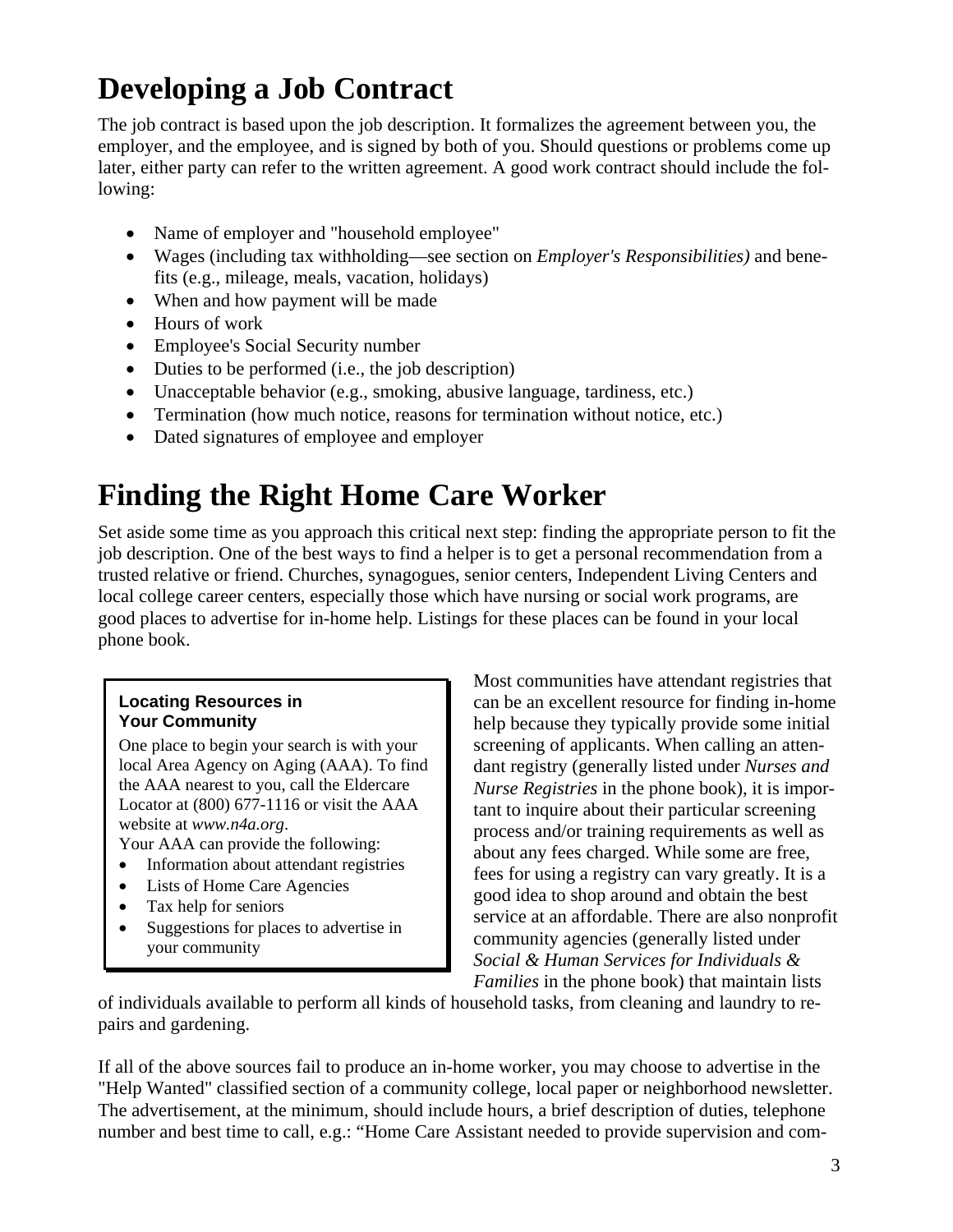### **Developing a Job Contract**

The job contract is based upon the job description. It formalizes the agreement between you, the employer, and the employee, and is signed by both of you. Should questions or problems come up later, either party can refer to the written agreement. A good work contract should include the following:

- Name of employer and "household employee"
- Wages (including tax withholding—see section on *Employer's Responsibilities)* and benefits (e.g., mileage, meals, vacation, holidays)
- When and how payment will be made
- Hours of work
- Employee's Social Security number
- Duties to be performed (i.e., the job description)
- Unacceptable behavior (e.g., smoking, abusive language, tardiness, etc.)
- Termination (how much notice, reasons for termination without notice, etc.)
- Dated signatures of employee and employer

### **Finding the Right Home Care Worker**

Set aside some time as you approach this critical next step: finding the appropriate person to fit the job description. One of the best ways to find a helper is to get a personal recommendation from a trusted relative or friend. Churches, synagogues, senior centers, Independent Living Centers and local college career centers, especially those which have nursing or social work programs, are good places to advertise for in-home help. Listings for these places can be found in your local phone book.

### **Locating Resources in Your Community**

One place to begin your search is with your local Area Agency on Aging (AAA). To find the AAA nearest to you, call the Eldercare Locator at (800) 677-1116 or visit the AAA website at *www.n4a.org*.

- Your AAA can provide the following:
- Information about attendant registries
- Lists of Home Care Agencies
- Tax help for seniors
- Suggestions for places to advertise in your community

Most communities have attendant registries that can be an excellent resource for finding in-home help because they typically provide some initial screening of applicants. When calling an attendant registry (generally listed under *Nurses and Nurse Registries* in the phone book), it is important to inquire about their particular screening process and/or training requirements as well as about any fees charged. While some are free, fees for using a registry can vary greatly. It is a good idea to shop around and obtain the best service at an affordable. There are also nonprofit community agencies (generally listed under *Social & Human Services for Individuals & Families* in the phone book) that maintain lists

of individuals available to perform all kinds of household tasks, from cleaning and laundry to repairs and gardening.

If all of the above sources fail to produce an in-home worker, you may choose to advertise in the "Help Wanted" classified section of a community college, local paper or neighborhood newsletter. The advertisement, at the minimum, should include hours, a brief description of duties, telephone number and best time to call, e.g.: "Home Care Assistant needed to provide supervision and com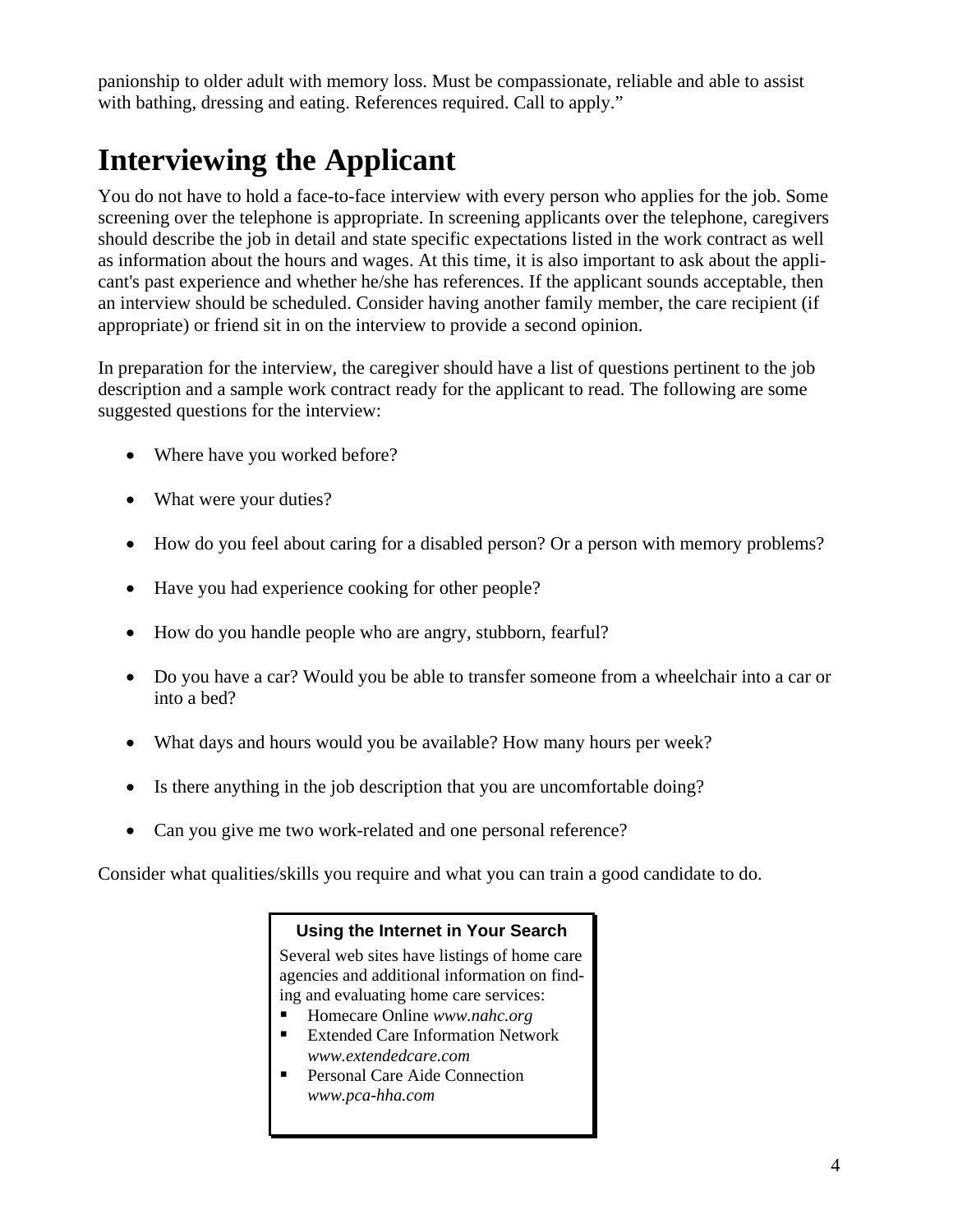panionship to older adult with memory loss. Must be compassionate, reliable and able to assist with bathing, dressing and eating. References required. Call to apply."

### **Interviewing the Applicant**

You do not have to hold a face-to-face interview with every person who applies for the job. Some screening over the telephone is appropriate. In screening applicants over the telephone, caregivers should describe the job in detail and state specific expectations listed in the work contract as well as information about the hours and wages. At this time, it is also important to ask about the applicant's past experience and whether he/she has references. If the applicant sounds acceptable, then an interview should be scheduled. Consider having another family member, the care recipient (if appropriate) or friend sit in on the interview to provide a second opinion.

In preparation for the interview, the caregiver should have a list of questions pertinent to the job description and a sample work contract ready for the applicant to read. The following are some suggested questions for the interview:

- Where have you worked before?
- What were your duties?
- How do you feel about caring for a disabled person? Or a person with memory problems?
- Have you had experience cooking for other people?
- How do you handle people who are angry, stubborn, fearful?
- Do you have a car? Would you be able to transfer someone from a wheelchair into a car or into a bed?
- What days and hours would you be available? How many hours per week?
- Is there anything in the job description that you are uncomfortable doing?
- Can you give me two work-related and one personal reference?

Consider what qualities/skills you require and what you can train a good candidate to do.

#### **Using the Internet in Your Search**

Several web sites have listings of home care agencies and additional information on finding and evaluating home care services:

- Homecare Online *www.nahc.org*
- Extended Care Information Network *www.extendedcare.com*
- Personal Care Aide Connection *www.pca-hha.com*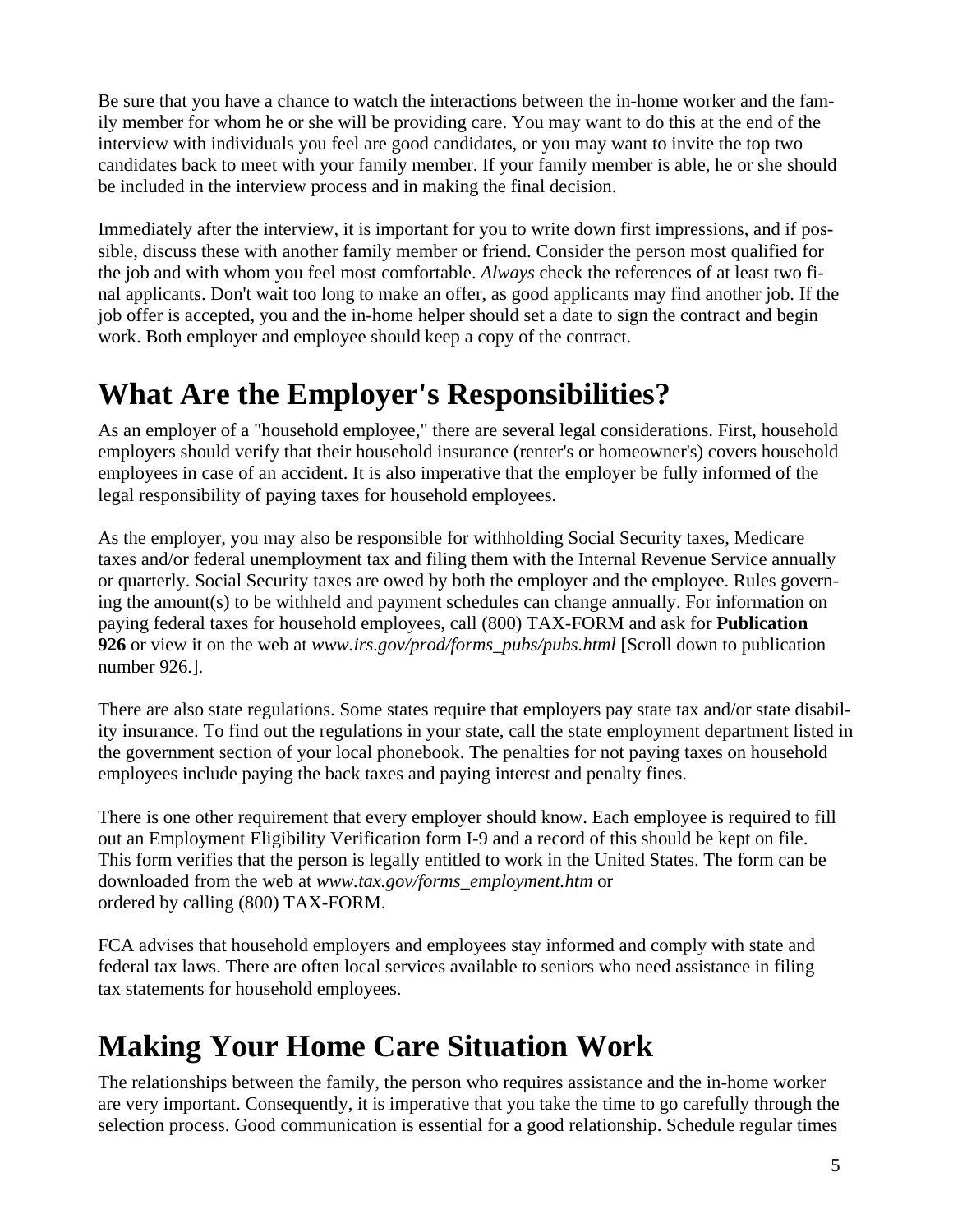Be sure that you have a chance to watch the interactions between the in-home worker and the family member for whom he or she will be providing care. You may want to do this at the end of the interview with individuals you feel are good candidates, or you may want to invite the top two candidates back to meet with your family member. If your family member is able, he or she should be included in the interview process and in making the final decision.

Immediately after the interview, it is important for you to write down first impressions, and if possible, discuss these with another family member or friend. Consider the person most qualified for the job and with whom you feel most comfortable. *Always* check the references of at least two final applicants. Don't wait too long to make an offer, as good applicants may find another job. If the job offer is accepted, you and the in-home helper should set a date to sign the contract and begin work. Both employer and employee should keep a copy of the contract.

### **What Are the Employer's Responsibilities?**

As an employer of a "household employee," there are several legal considerations. First, household employers should verify that their household insurance (renter's or homeowner's) covers household employees in case of an accident. It is also imperative that the employer be fully informed of the legal responsibility of paying taxes for household employees.

As the employer, you may also be responsible for withholding Social Security taxes, Medicare taxes and/or federal unemployment tax and filing them with the Internal Revenue Service annually or quarterly. Social Security taxes are owed by both the employer and the employee. Rules governing the amount(s) to be withheld and payment schedules can change annually. For information on paying federal taxes for household employees, call (800) TAX-FORM and ask for **Publication 926** or view it on the web at *www.irs.gov/prod/forms\_pubs/pubs.html* [Scroll down to publication number 926.].

There are also state regulations. Some states require that employers pay state tax and/or state disability insurance. To find out the regulations in your state, call the state employment department listed in the government section of your local phonebook. The penalties for not paying taxes on household employees include paying the back taxes and paying interest and penalty fines.

There is one other requirement that every employer should know. Each employee is required to fill out an Employment Eligibility Verification form I-9 and a record of this should be kept on file. This form verifies that the person is legally entitled to work in the United States. The form can be downloaded from the web at *www.tax.gov/forms\_employment.htm* or ordered by calling (800) TAX-FORM.

FCA advises that household employers and employees stay informed and comply with state and federal tax laws. There are often local services available to seniors who need assistance in filing tax statements for household employees.

### **Making Your Home Care Situation Work**

The relationships between the family, the person who requires assistance and the in-home worker are very important. Consequently, it is imperative that you take the time to go carefully through the selection process. Good communication is essential for a good relationship. Schedule regular times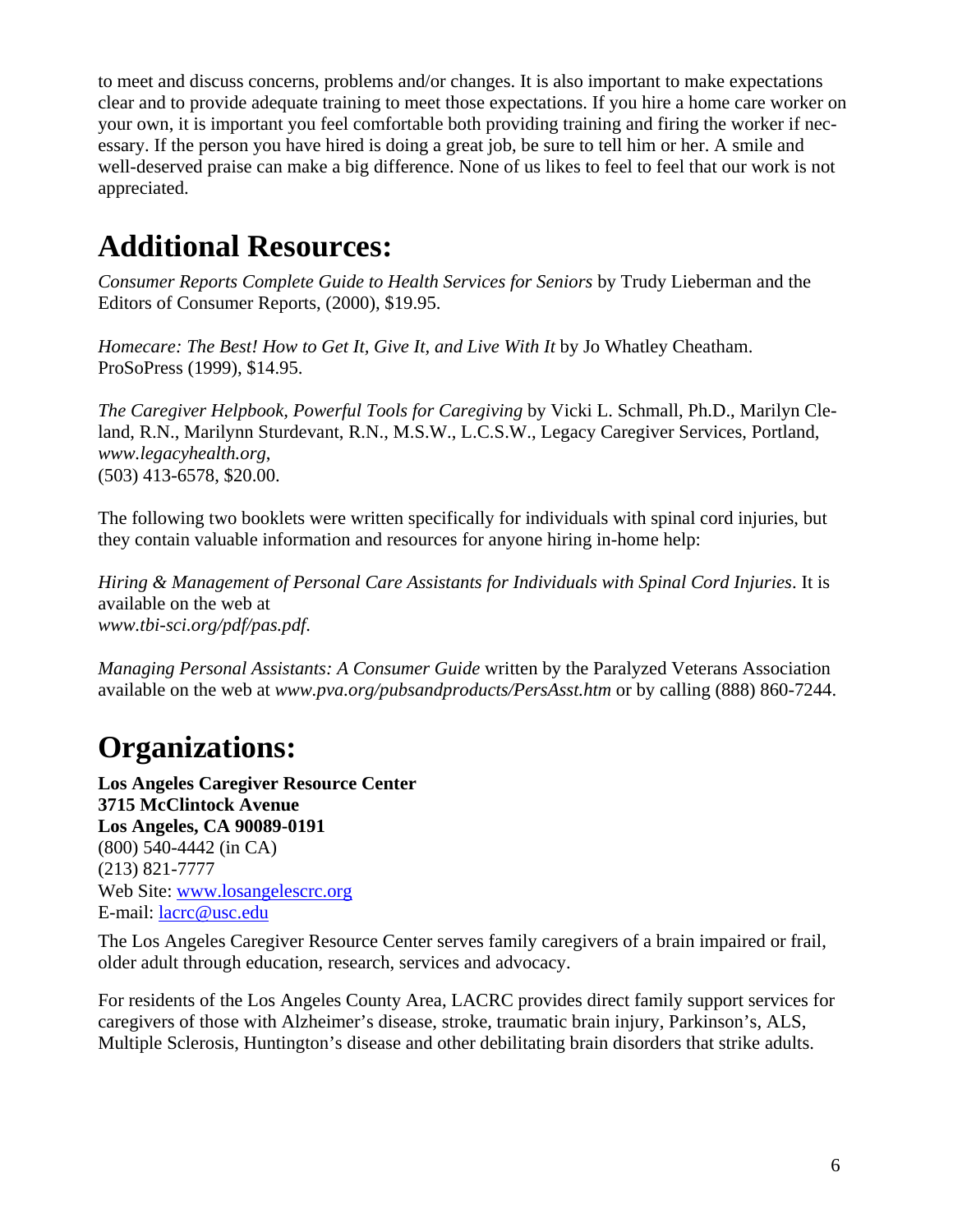to meet and discuss concerns, problems and/or changes. It is also important to make expectations clear and to provide adequate training to meet those expectations. If you hire a home care worker on your own, it is important you feel comfortable both providing training and firing the worker if necessary. If the person you have hired is doing a great job, be sure to tell him or her. A smile and well-deserved praise can make a big difference. None of us likes to feel to feel that our work is not appreciated.

### **Additional Resources:**

*Consumer Reports Complete Guide to Health Services for Seniors* by Trudy Lieberman and the Editors of Consumer Reports, (2000), \$19.95.

*Homecare: The Best! How to Get It, Give It, and Live With It by Jo Whatley Cheatham.* ProSoPress (1999), \$14.95.

*The Caregiver Helpbook, Powerful Tools for Caregiving* by Vicki L. Schmall, Ph.D., Marilyn Cleland, R.N., Marilynn Sturdevant, R.N., M.S.W., L.C.S.W., Legacy Caregiver Services, Portland, *www.legacyhealth.org*, (503) 413-6578, \$20.00.

The following two booklets were written specifically for individuals with spinal cord injuries, but they contain valuable information and resources for anyone hiring in-home help:

*Hiring & Management of Personal Care Assistants for Individuals with Spinal Cord Injuries*. It is available on the web at *www.tbi-sci.org/pdf/pas.pdf*.

*Managing Personal Assistants: A Consumer Guide* written by the Paralyzed Veterans Association available on the web at *www.pva.org/pubsandproducts/PersAsst.htm* or by calling (888) 860-7244.

## **Organizations:**

**Los Angeles Caregiver Resource Center 3715 McClintock Avenue Los Angeles, CA 90089-0191** (800) 540-4442 (in CA) (213) 821-7777 Web Site: [www.losangelescrc.org](http://www.losangelescrc.org/) E-mail: [lacrc@usc.edu](mailto:lacrc@usc.edu) 

The Los Angeles Caregiver Resource Center serves family caregivers of a brain impaired or frail, older adult through education, research, services and advocacy.

For residents of the Los Angeles County Area, LACRC provides direct family support services for caregivers of those with Alzheimer's disease, stroke, traumatic brain injury, Parkinson's, ALS, Multiple Sclerosis, Huntington's disease and other debilitating brain disorders that strike adults.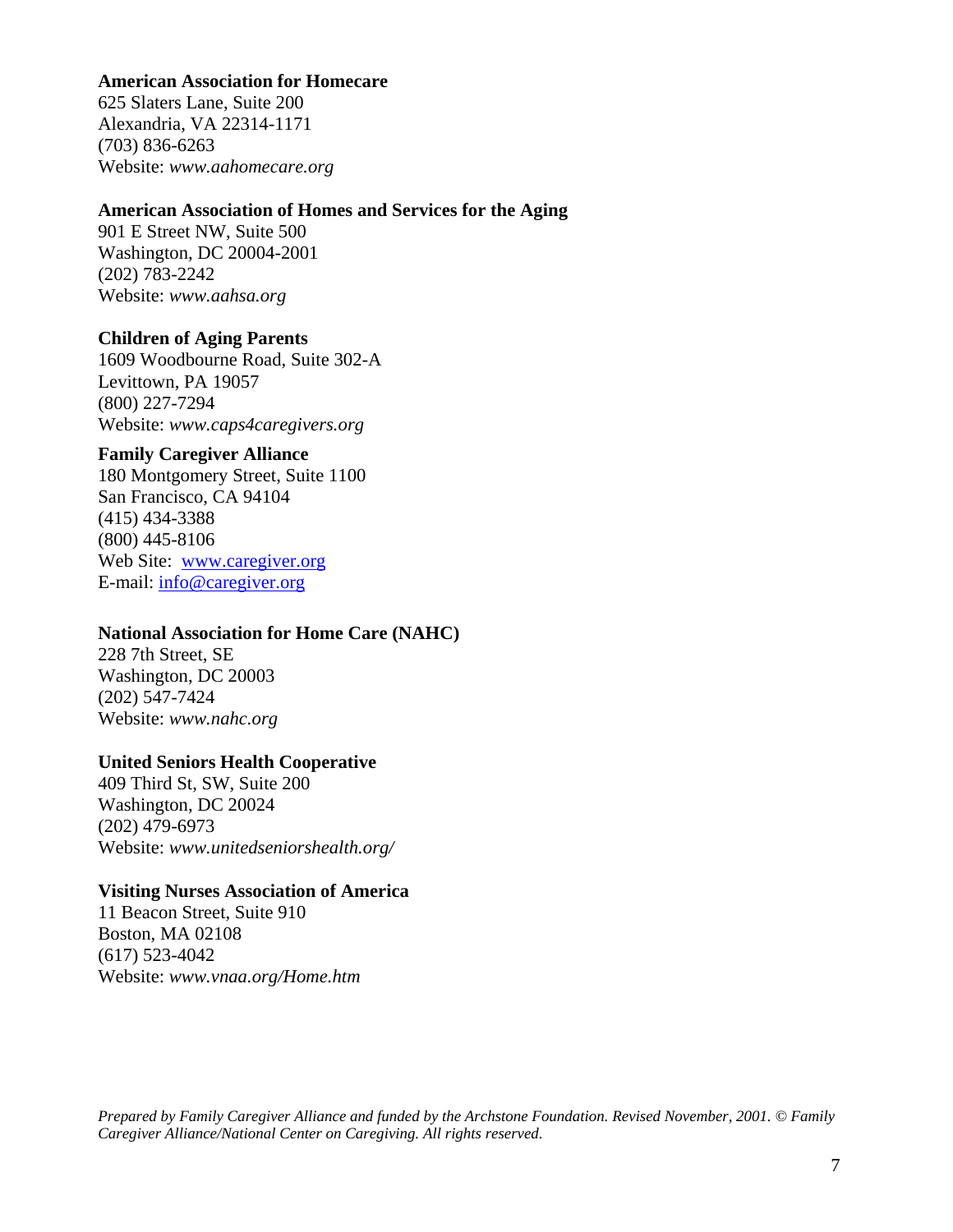#### **American Association for Homecare**

625 Slaters Lane, Suite 200 Alexandria, VA 22314-1171 (703) 836-6263 Website: *www.aahomecare.org*

### **American Association of Homes and Services for the Aging**

901 E Street NW, Suite 500 Washington, DC 20004-2001 (202) 783-2242 Website: *www.aahsa.org*

### **Children of Aging Parents**

1609 Woodbourne Road, Suite 302-A Levittown, PA 19057 (800) 227-7294 Website: *www.caps4caregivers.org*

### **Family Caregiver Alliance**

180 Montgomery Street, Suite 1100 San Francisco, CA 94104 (415) 434-3388 (800) 445-8106 Web Site: [www.caregiver.org](http://www.caregiver.org/) E-mail: [info@caregiver.org](mailto:info@caregiver.org)

### **National Association for Home Care (NAHC)**

228 7th Street, SE Washington, DC 20003 (202) 547-7424 Website: *www.nahc.org*

### **United Seniors Health Cooperative**

409 Third St, SW, Suite 200 Washington, DC 20024 (202) 479-6973 Website: *www.unitedseniorshealth.org/*

#### **Visiting Nurses Association of America**

11 Beacon Street, Suite 910 Boston, MA 02108 (617) 523-4042 Website: *www.vnaa.org/Home.htm*